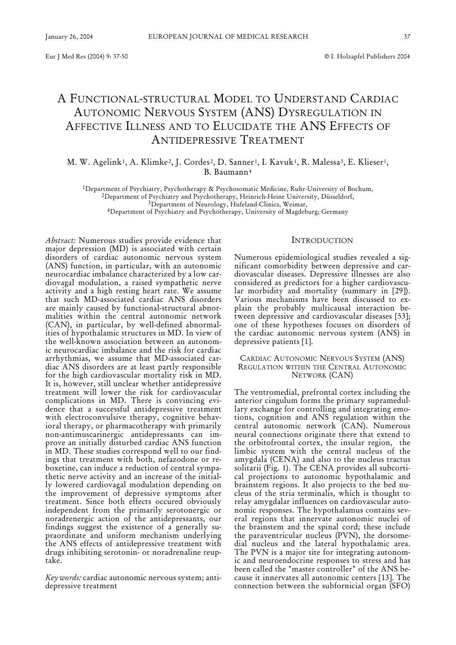# A FUNCTIONAL-STRUCTURAL MODEL TO UNDERSTAND CARDIAC AUTONOMIC NERVOUS SYSTEM (ANS) DYSREGULATION IN AFFECTIVE ILLNESS AND TO ELUCIDATE THE ANS EFFECTS OF ANTIDEPRESSIVE TREATMENT

M. W. Agelink<sup>1</sup>, A. Klimke<sup>2</sup>, J. Cordes<sup>2</sup>, D. Sanner<sup>1</sup>, I. Kavuk<sup>1</sup>, R. Malessa<sup>3</sup>, E. Klieser<sup>1</sup>, B. Baumann4

1Department of Psychiatry, Psychotherapy & Psychosomatic Medicine, Ruhr-University of Bochum, 2Department of Psychiatry and Psychotherapy, Heinrich-Heine University, Düsseldorf, 3Department of Neurology, Hufeland-Clinics, Weimar,

4Department of Psychiatry and Psychotherapy, University of Magdeburg; Germany

*Abstract:* Numerous studies provide evidence that major depression (MD) is associated with certain disorders of cardiac autonomic nervous system (ANS) function, in particular, with an autonomic neurocardiac imbalance characterized by a low cardiovagal modulation, a raised sympathetic nerve activity and a high resting heart rate. We assume that such MD-associated cardiac ANS disorders are mainly caused by functional-structural abnormalities within the central autonomic network (CAN), in particular, by well-defined abnormalities of hypothalamic structures in MD. In view of the well-known association between an autonomic neurocardiac imbalance and the risk for cardiac arrhythmias, we assume that MD-associated cardiac ANS disorders are at least partly responsible for the high cardiovascular mortality risk in MD. It is, however, still unclear whether antidepressive treatment will lower the risk for cardiovascular complications in MD. There is convincing evidence that a successful antidepressive treatment with electroconvulsive therapy, cognitive behavioral therapy, or pharmacotherapy with primarily non-antimuscarinergic antidepressants can improve an initially disturbed cardiac ANS function in MD. These studies correspond well to our findings that treatment with both, nefazodone or reboxetine, can induce a reduction of central sympathetic nerve activity and an increase of the initially lowered cardiovagal modulation depending on the improvement of depressive symptoms after treatment. Since both effects occured obviously independent from the primarily serotonergic or noradrenergic action of the antidepressants, our findings suggest the existence of a generally supraordinate and uniform mechanism underlying the ANS effects of antidepressive treatment with drugs inhibiting serotonin- or noradrenaline reuptake.

*Key words:* cardiac autonomic nervous system; antidepressive treatment

# INTRODUCTION

Numerous epidemiological studies revealed a significant comorbidity between depressive and cardiovascular diseases. Depressive illnesses are also considered as predictors for a higher cardiovascular morbidity and mortality (summary in [29]). Various mechanisms have been discussed to explain the probably multicausal interaction between depressive and cardiovascular diseases [53]; one of these hypotheses focuses on disorders of the cardiac autonomic nervous system (ANS) in depressive patients [1].

### CARDIAC AUTONOMIC NERVOUS SYSTEM (ANS) REGULATION WITHIN THE CENTRAL AUTONOMIC NETWORK (CAN)

The ventromedial, prefrontal cortex including the anterior cingulum forms the primary supramedullary exchange for controlling and integrating emotions, cognition and ANS regulation within the central autonomic network (CAN). Numerous neural connections originate there that extend to the orbitofrontal cortex, the insular region, the limbic system with the central nucleus of the amygdala (CENA) and also to the nucleus tractus solitarii (Fig. 1). The CENA provides all subcortical projections to autonomic hypothalamic and brainstem regions. It also projects to the bed nucleus of the stria terminalis, which is thought to relay amygdalar influences on cardiovascular autonomic responses. The hypothalamus contains several regions that innervate autonomic nuclei of the brainstem and the spinal cord; these include the paraventricular nucleus (PVN), the dorsomedial nucleus and the lateral hypothalamic area. The PVN is a major site for integrating autonomic and neuroendocrine responses to stress and has been called the "master controller" of the ANS because it innervates all autonomic centers [13]. The connection between the subfornicial organ (SFO)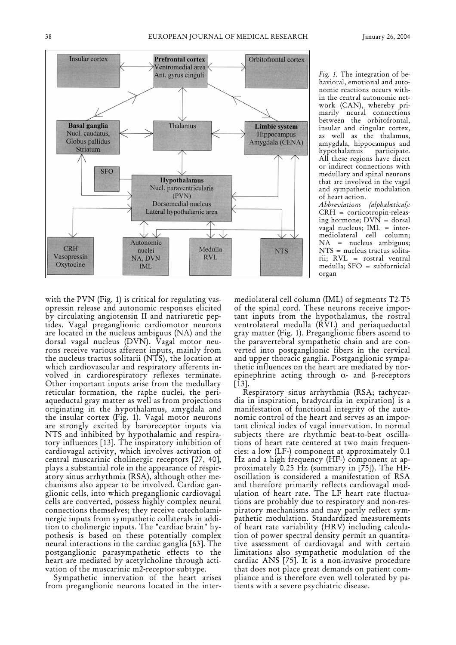

*Fig. 1.* The integration of behavioral, emotional and autonomic reactions occurs within the central autonomic network (CAN), whereby primarily neural connections between the orbitofrontal, insular and cingular cortex, as well as the thalamus, amygdala, hippocampus and hypothalamus All these regions have direct or indirect connections with medullary and spinal neurons that are involved in the vagal and sympathetic modulation of heart action.

*Abbreviations (alphabetical):* CRH = corticotropin-releasing hormone;  $D\text{VN}$  = dorsal vagal nucleus; IML = intermediolateral cell column; NA = nucleus ambiguus; NTS = nucleus tractus solitarii; RVL = rostral ventral medulla; SFO = subfornicial organ

with the PVN (Fig. 1) is critical for regulating vasopressin release and autonomic responses elicited by circulating angiotensin II and natriuretic peptides. Vagal preganglionic cardiomotor neurons are located in the nucleus ambiguus (NA) and the dorsal vagal nucleus (DVN). Vagal motor neurons receive various afferent inputs, mainly from the nucleus tractus solitarii (NTS), the location at which cardiovascular and respiratory afferents involved in cardiorespiratory reflexes terminate. Other important inputs arise from the medullary reticular formation, the raphe nuclei, the periaqueductal gray matter as well as from projections originating in the hypothalamus, amygdala and the insular cortex (Fig. 1). Vagal motor neurons are strongly excited by baroreceptor inputs via NTS and inhibited by hypothalamic and respiratory influences [13]. The inspiratory inhibition of cardiovagal activity, which involves activation of central muscarinic cholinergic receptors [27, 40], plays a substantial role in the appearance of respiratory sinus arrhythmia (RSA), although other mechanisms also appear to be involved. Cardiac ganglionic cells, into which preganglionic cardiovagal cells are converted, possess highly complex neural connections themselves; they receive catecholaminergic inputs from sympathetic collaterals in addition to cholinergic inputs. The "cardiac brain" hypothesis is based on these potentially complex neural interactions in the cardiac ganglia [63]. The postganglionic parasympathetic effects to the heart are mediated by acetylcholine through activation of the muscarinic m2-receptor subtype.

Sympathetic innervation of the heart arises from preganglionic neurons located in the intermediolateral cell column (IML) of segments T2-T5 of the spinal cord. These neurons receive important inputs from the hypothalamus, the rostral ventrolateral medulla (RVL) and periaqueductal gray matter (Fig. 1). Preganglionic fibers ascend to the paravertebral sympathetic chain and are converted into postganglionic fibers in the cervical and upper thoracic ganglia. Postganglionic sympathetic influences on the heart are mediated by norepinephrine acting through  $\alpha$ - and  $\beta$ -receptors [13].

Respiratory sinus arrhythmia (RSA; tachycardia in inspiration, bradycardia in expiration) is a manifestation of functional integrity of the autonomic control of the heart and serves as an important clinical index of vagal innervation. In normal subjects there are rhythmic beat-to-beat oscillations of heart rate centered at two main frequencies: a low (LF-) component at approximately 0.1 Hz and a high frequency (HF-) component at approximately 0.25 Hz (summary in [75]). The HFoscillation is considered a manifestation of RSA and therefore primarily reflects cardiovagal modulation of heart rate. The LF heart rate fluctuations are probably due to respiratory and non-respiratory mechanisms and may partly reflect sympathetic modulation. Standardized measurements of heart rate variability (HRV) including calculation of power spectral density permit an quantitative assessment of cardiovagal and with certain limitations also sympathetic modulation of the cardiac ANS [75]. It is a non-invasive procedure that does not place great demands on patient compliance and is therefore even well tolerated by patients with a severe psychiatric disease.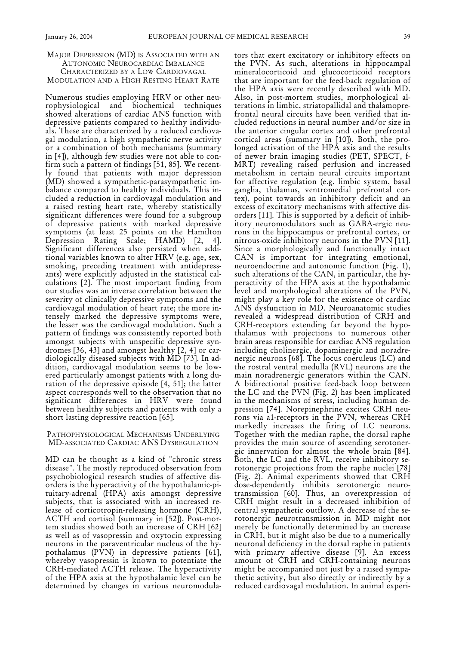## MAJOR DEPRESSION (MD) IS ASSOCIATED WITH AN AUTONOMIC NEUROCARDIAC IMBALANCE CHARACTERIZED BY A LOW CARDIOVAGAL MODULATION AND A HIGH RESTING HEART RATE

Numerous studies employing HRV or other neurophysiological and biochemical techniques showed alterations of cardiac ANS function with depressive patients compared to healthy individuals. These are characterized by a reduced cardiovagal modulation, a high sympathetic nerve activity or a combination of both mechanisms (summary in [4]), although few studies were not able to confirm such a pattern of findings [51, 85]. We recently found that patients with major depression (MD) showed a sympathetic-parasympathetic imbalance compared to healthy individuals. This included a reduction in cardiovagal modulation and a raised resting heart rate, whereby statistically significant differences were found for a subgroup of depressive patients with marked depressive symptoms (at least 25 points on the Hamilton Depression Rating Scale; HAMD) [2, 4]. Significant differences also persisted when additional variables known to alter HRV (e.g. age, sex, smoking, preceding treatment with antidepressants) were explicitly adjusted in the statistical calculations [2]. The most important finding from our studies was an inverse correlation between the severity of clinically depressive symptoms and the cardiovagal modulation of heart rate; the more intensely marked the depressive symptoms were, the lesser was the cardiovagal modulation. Such a pattern of findings was consistently reported both amongst subjects with unspecific depressive syndromes [36, 43] and amongst healthy [2, 4] or cardiologically diseased subjects with MD [73]. In addition, cardiovagal modulation seems to be lowered particularly amongst patients with a long duration of the depressive episode [4, 51]; the latter aspect corresponds well to the observation that no significant differences in HRV were found between healthy subjects and patients with only a short lasting depressive reaction [65].

#### PATHOPHYSIOLOGICAL MECHANISMS UNDERLYING MD-ASSOCIATED CARDIAC ANS DYSREGULATION

MD can be thought as a kind of "chronic stress disease". The mostly reproduced observation from psychobiological research studies of affective disorders is the hyperactivity of the hypothalamic-pituitary-adrenal (HPA) axis amongst depressive subjects, that is associated with an increased release of corticotropin-releasing hormone (CRH), ACTH and cortisol (summary in [52]). Post-mortem studies showed both an increase of CRH [62] as well as of vasopressin and oxytocin expressing neurons in the paraventricular nucleus of the hypothalamus (PVN) in depressive patients [61], whereby vasopressin is known to potentiate the CRH-mediated ACTH release. The hyperactivity of the HPA axis at the hypothalamic level can be determined by changes in various neuromodulators that exert excitatory or inhibitory effects on the PVN. As such, alterations in hippocampal mineralocorticoid and glucocorticoid receptors that are important for the feed-back regulation of the HPA axis were recently described with MD. Also, in post-mortem studies, morphological alterations in limbic, striatopallidal and thalamoprefrontal neural circuits have been verified that included reductions in neural number and/or size in the anterior cingular cortex and other prefrontal cortical areas (summary in [10]). Both, the prolonged activation of the HPA axis and the results of newer brain imaging studies (PET, SPECT, f-MRT) revealing raised perfusion and increased metabolism in certain neural circuits important for affective regulation (e.g. limbic system, basal ganglia, thalamus, ventromedial prefrontal cortex), point towards an inhibitory deficit and an excess of excitatory mechanisms with affective disorders [11]. This is supported by a deficit of inhibitory neuromodulators such as GABA-ergic neurons in the hippocampus or prefrontal cortex, or nitrous-oxide inhibitory neurons in the PVN [11]. Since a morphologically and functionally intact CAN is important for integrating emotional, neuroendocrine and autonomic function (Fig. 1), such alterations of the CAN, in particular, the hyperactivity of the HPA axis at the hypothalamic level and morphological alterations of the PVN, might play a key role for the existence of cardiac ANS dysfunction in MD. Neuroanatomic studies revealed a widespread distribution of CRH and CRH-receptors extending far beyond the hypothalamus with projections to numerous other brain areas responsible for cardiac ANS regulation including cholinergic, dopaminergic and noradrenergic neurons [68]. The locus coeruleus (LC) and the rostral ventral medulla (RVL) neurons are the main noradrenergic generators within the CAN. A bidirectional positive feed-back loop between the LC and the PVN (Fig. 2) has been implicated in the mechanisms of stress, including human depression [74]. Norepinephrine excites CRH neurons via a1-receptors in the PVN, whereas CRH markedly increases the firing of LC neurons. Together with the median raphe, the dorsal raphe provides the main source of ascending serotonergic innervation for almost the whole brain [84]. Both, the LC and the RVL, receive inhibitory serotonergic projections from the raphe nuclei [78] (Fig. 2). Animal experiments showed that CRH dose-dependently inhibits serotonergic neurotransmission [60]. Thus, an overexpression of CRH might result in a decreased inhibition of central sympathetic outflow. A decrease of the serotonergic neurotransmission in MD might not merely be functionally determined by an increase in CRH, but it might also be due to a numerically neuronal deficiency in the dorsal raphe in patients with primary affective disease [9]. An excess amount of CRH and CRH-containing neurons might be accompanied not just by a raised sympathetic activity, but also directly or indirectly by a reduced cardiovagal modulation. In animal experi-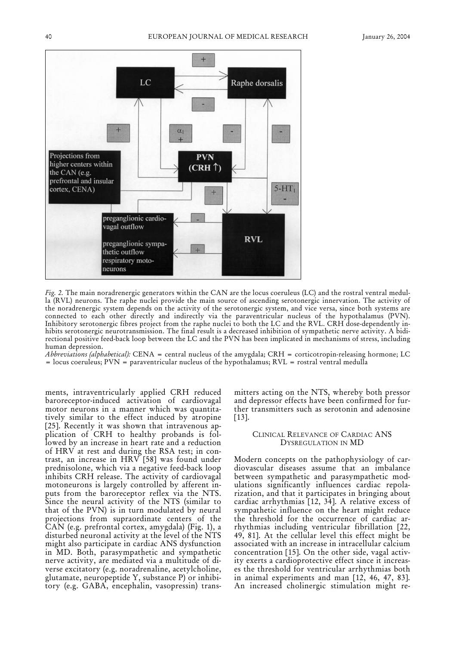

*Fig. 2.* The main noradrenergic generators within the CAN are the locus coeruleus (LC) and the rostral ventral medulla (RVL) neurons. The raphe nuclei provide the main source of ascending serotonergic innervation. The activity of the noradrenergic system depends on the activity of the serotonergic system, and vice versa, since both systems are connected to each other directly and indirectly via the paraventricular nucleus of the hypothalamus (PVN). Inhibitory serotonergic fibres project from the raphe nuclei to both the LC and the RVL. CRH dose-dependently inhibits serotonergic neurotransmission. The final result is a decreased inhibition of sympathetic nerve activity. A bidirectional positive feed-back loop between the LC and the PVN has been implicated in mechanisms of stress, including human depression.

*Abbreviations (alphabetical):* CENA = central nucleus of the amygdala; CRH = corticotropin-releasing hormone; LC = locus coeruleus; PVN = paraventricular nucleus of the hypothalamus; RVL = rostral ventral medulla

ments, intraventricularly applied CRH reduced baroreceptor-induced activation of cardiovagal motor neurons in a manner which was quantitatively similar to the effect induced by atropine [25]. Recently it was shown that intravenous application of CRH to healthy probands is followed by an increase in heart rate and a reduction of HRV at rest and during the RSA test; in contrast, an increase in HRV [58] was found under prednisolone, which via a negative feed-back loop inhibits CRH release. The activity of cardiovagal motoneurons is largely controlled by afferent inputs from the baroreceptor reflex via the NTS. Since the neural activity of the NTS (similar to that of the PVN) is in turn modulated by neural projections from supraordinate centers of the CAN (e.g. prefrontal cortex, amygdala) (Fig. 1), a disturbed neuronal activity at the level of the NTS might also participate in cardiac ANS dysfunction in MD. Both, parasympathetic and sympathetic nerve activity, are mediated via a multitude of diverse excitatory (e.g. noradrenaline, acetylcholine, glutamate, neuropeptide Y, substance P) or inhibitory (e.g. GABA, encephalin, vasopressin) transmitters acting on the NTS, whereby both pressor and depressor effects have been confirmed for further transmitters such as serotonin and adenosine [13].

#### CLINICAL RELEVANCE OF CARDIAC ANS DYSREGULATION IN MD

Modern concepts on the pathophysiology of cardiovascular diseases assume that an imbalance between sympathetic and parasympathetic modulations significantly influences cardiac repolarization, and that it participates in bringing about cardiac arrhythmias [12, 34]. A relative excess of sympathetic influence on the heart might reduce the threshold for the occurrence of cardiac arrhythmias including ventricular fibrillation [22, 49, 81]. At the cellular level this effect might be associated with an increase in intracellular calcium concentration [15]. On the other side, vagal activity exerts a cardioprotective effect since it increases the threshold for ventricular arrhythmias both in animal experiments and man [12, 46, 47, 83]. An increased cholinergic stimulation might re-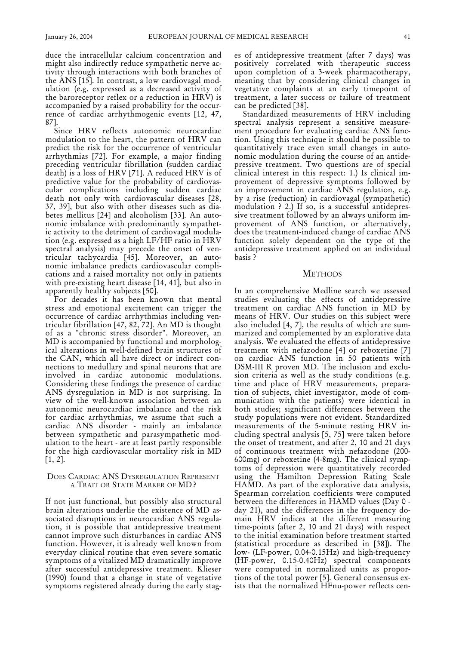duce the intracellular calcium concentration and might also indirectly reduce sympathetic nerve activity through interactions with both branches of the ANS [15]. In contrast, a low cardiovagal modulation (e.g. expressed as a decreased activity of the baroreceptor reflex or a reduction in HRV) is accompanied by a raised probability for the occurrence of cardiac arrhythmogenic events [12, 47, 87].

Since HRV reflects autonomic neurocardiac modulation to the heart, the pattern of HRV can predict the risk for the occurrence of ventricular arrhythmias [72]. For example, a major finding preceding ventricular fibrillation (sudden cardiac death) is a loss of HRV [71]. A reduced HRV is of predictive value for the probability of cardiovascular complications including sudden cardiac death not only with cardiovascular diseases [28, 37, 39], but also with other diseases such as diabetes mellitus [24] and alcoholism [33]. An autonomic imbalance with predominantly sympathetic activity to the detriment of cardiovagal modulation (e.g. expressed as a high LF/HF ratio in HRV spectral analysis) may precede the onset of ventricular tachycardia [45]. Moreover, an autonomic imbalance predicts cardiovascular complications and a raised mortality not only in patients with pre-existing heart disease [14, 41], but also in apparently healthy subjects [50].

For decades it has been known that mental stress and emotional excitement can trigger the occurrence of cardiac arrhythmias including ventricular fibrillation [47, 82, 72]. An MD is thought of as a "chronic stress disorder". Moreover, an MD is accompanied by functional and morphological alterations in well-defined brain structures of the CAN, which all have direct or indirect connections to medullary and spinal neurons that are involved in cardiac autonomic modulations. Considering these findings the presence of cardiac ANS dysregulation in MD is not surprising. In view of the well-known association between an autonomic neurocardiac imbalance and the risk for cardiac arrhythmias, we assume that such a cardiac ANS disorder - mainly an imbalance between sympathetic and parasympathetic modulation to the heart - are at least partly responsible for the high cardiovascular mortality risk in MD [1, 2].

## DOES CARDIAC ANS DYSREGULATION REPRESENT A TRAIT OR STATE MARKER OF MD?

If not just functional, but possibly also structural brain alterations underlie the existence of MD associated disruptions in neurocardiac ANS regulation, it is possible that antidepressive treatment cannot improve such disturbances in cardiac ANS function. However, it is already well known from everyday clinical routine that even severe somatic symptoms of a vitalized MD dramatically improve after successful antidepressive treatment. Klieser (1990) found that a change in state of vegetative symptoms registered already during the early stages of antidepressive treatment (after 7 days) was positively correlated with therapeutic success upon completion of a 3-week pharmacotherapy, meaning that by considering clinical changes in vegetative complaints at an early timepoint of treatment, a later success or failure of treatment can be predicted [38].

Standardized measurements of HRV including spectral analysis represent a sensitive measurement procedure for evaluating cardiac ANS function. Using this technique it should be possible to quantitatively trace even small changes in autonomic modulation during the course of an antidepressive treatment. Two questions are of special clinical interest in this respect: 1.) Is clinical improvement of depressive symptoms followed by an improvement in cardiac ANS regulation, e.g. by a rise (reduction) in cardiovagal (sympathetic) modulation ? 2.) If so, is a successful antidepressive treatment followed by an always uniform improvement of ANS function, or alternatively, does the treatment-induced change of cardiac ANS function solely dependent on the type of the antidepressive treatment applied on an individual basis ?

#### **METHODS**

In an comprehensive Medline search we assessed studies evaluating the effects of antidepressive treatment on cardiac ANS function in MD by means of HRV. Our studies on this subject were also included [4, 7], the results of which are summarized and complemented by an explorative data analysis. We evaluated the effects of antidepressive treatment with nefazodone [4] or reboxetine [7] on cardiac ANS function in 50 patients with DSM-III R proven MD. The inclusion and exclusion criteria as well as the study conditions (e.g. time and place of HRV measurements, preparation of subjects, chief investigator, mode of communication with the patients) were identical in both studies; significant differences between the study populations were not evident. Standardized measurements of the 5-minute resting HRV including spectral analysis [5, 75] were taken before the onset of treatment, and after 2, 10 and 21 days of continuous treatment with nefazodone (200- 600mg) or reboxetine (4-8mg). The clinical symptoms of depression were quantitatively recorded using the Hamilton Depression Rating Scale HAMD. As part of the explorative data analysis, Spearman correlation coefficients were computed between the differences in HAMD values (Day 0 day 21), and the differences in the frequency domain HRV indices at the different measuring time-points (after 2, 10 and 21 days) with respect to the initial examination before treatment started (statistical procedure as described in [38]). The low- (LF-power, 0.04-0.15Hz) and high-frequency (HF-power, 0.15-0.40Hz) spectral components were computed in normalized units as proportions of the total power [5]. General consensus exists that the normalized HFnu-power reflects cen-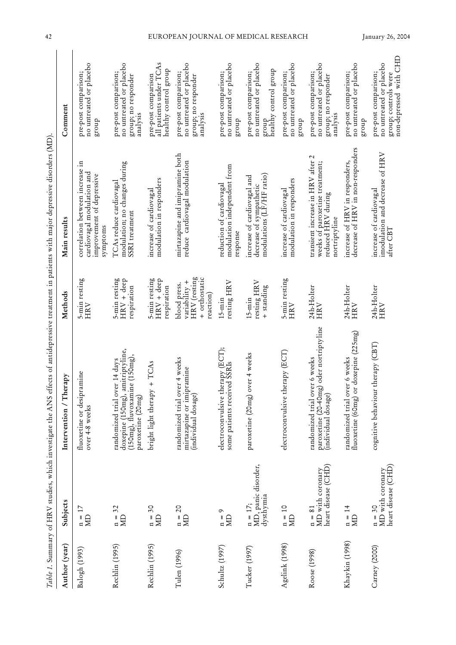|                | Table 1. Summary of HRV studies, which investigate the ANS |                                                                                                                                  |                                                                             | effects of antidepressive treatment in patients with major depressive disorders (MD)                                    |                                                                                                   |
|----------------|------------------------------------------------------------|----------------------------------------------------------------------------------------------------------------------------------|-----------------------------------------------------------------------------|-------------------------------------------------------------------------------------------------------------------------|---------------------------------------------------------------------------------------------------|
| Author (year)  | Subjects                                                   | / Therapy<br>Intervention                                                                                                        | Methods                                                                     | Main results                                                                                                            | Comment                                                                                           |
| Balogh (1993)  | $\overline{17}$<br>$\lim_{n \to \infty}$                   | fluoxetine or desipramine<br>over 4-8 weeks                                                                                      | 5-min resting<br>HRV                                                        | correlation between increase in<br>cardiovagal modulation and<br>improvement of depressive<br>symptoms                  | no untreated or placebo<br>pre-post comparison;<br>dnorg                                          |
| Rechlin (1995) | $n = 32$ MD                                                | amitriptyline,<br>$(150mg)$ , fluvoxamine $(150mg)$ ,<br>randomized trial over 14 days<br>doxepine (150mg),<br>paroxetine (20mg) | 5-min resting<br>$HRV + deep$<br>respiration                                | modulation; no changes during<br>TCAs reduce cardiovagal<br>SSRI treatment                                              | no untreated or placebo<br>pre-post comparison;<br>group; no responder<br>analysis                |
| Rechlin (1995) | SC<br>$\lim_{n \to \infty}$                                | bright light therapy + TCAs                                                                                                      | 5-min resting<br>$HRV + deep$<br>respiration                                | modulation in responders<br>increase of cardiovagal                                                                     | all patients under TCAs<br>healthy control group<br>pre-post comparison                           |
| Tulen (1996)   | $n = 20$<br>$\overline{\mathbf{M}}$                        | randomized trial over 4 weeks<br>mirtazapine or imipramine<br>(individual dosage)                                                | + orthostatic<br>HRV (resting<br>variability +<br>blood press.<br>reaction) | mirtazapine and imipramine both<br>reduce cardiovagal modulation                                                        | no untreated or placebo<br>pre-post comparison;<br>group; no responder<br>analysis                |
| Schultz (1997) | ó<br>$\lim_{n \to \infty}$                                 | electroconvulsive therapy (ECT);<br>some patients received SSRIs                                                                 | resting HRV<br>$15 - min$                                                   | modulation independent from<br>reduction of cardiovagal<br>response                                                     | no untreated or placebo<br>pre-post comparison;<br>$d$ no.1 $d$                                   |
| Tucker (1997)  | MD, panic disorder,<br>dysthymia<br>$n = 17;$              | over 4 weeks<br>paroxetine (20mg)                                                                                                | resting $HRV$<br>+ standing<br>$15 - min$                                   | modulations (LF/HF ratio)<br>increase of cardiovagal and<br>decrease of sympathetic                                     | no untreated or placebo<br>healthy control group<br>pre-post comparison;<br>dnorg                 |
| Agelink (1998) | $\begin{array}{l} n=10\\ \text{MD} \end{array}$            | electroconvulsive therapy (ECT)                                                                                                  | 5-min resting<br>$\rm HRV$                                                  | modulation in responders<br>increase of cardiovagal                                                                     | no untreated or placebo<br>pre-post comparison;<br>group                                          |
| Roose (1998)   | heart disease (CHD)<br>MD with coronary<br>$n = 81$        | paroxetine (20-40mg) oder nortriptyline<br>randomized trial over 6 weeks<br>(individual dosage)                                  | 24h-Holter<br>HRV                                                           | $\mathbf 2$<br>transient increase in HRV after<br>weeks of paroxetine treatment;<br>reduced HRV during<br>nortriptyline | no untreated or placebo<br>pre-post comparison;<br>group; no responder<br>analysis                |
| Khaykin (1998) | $n = 14$<br>$\Xi$                                          | or doxepine (225mg)<br>randomized trial over 6 weeks<br>fluoxetine (60mg)                                                        | 24h-Holter<br>HRV                                                           | decrease of HRV in non-responders<br>increase of HRV in responders,                                                     | no untreated or placebo<br>pre-post comparison;<br>dnorg                                          |
| Carney (2000)  | heart disease (CHD)<br>n = 30<br>MD with coronary          | cognitive behaviour therapy (CBT)                                                                                                | 24h-Holter<br>HRV                                                           | imodulation and decrease of HRV<br>increase of cardiovagal<br>after CBT                                                 | non-depressed with CHD<br>no untreated or placebo<br>pre-post comparison;<br>group; controls were |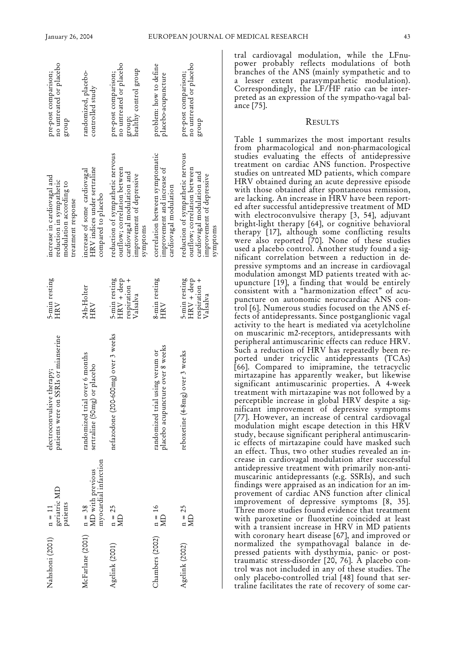| Nahshoni (2001)  | geriatric MD<br>patients<br>$n = 11$                  | patients were on SSRIs or mianserine<br>electroconvulsive therapy;  | 5-min resting<br><b>HRV</b>                                | increase in cardiovagal and<br>reduction in sympathetic<br>modulation according to<br>treatment response                                | no untreated or placebo<br>pre-post comparison;<br>dno.18                          |
|------------------|-------------------------------------------------------|---------------------------------------------------------------------|------------------------------------------------------------|-----------------------------------------------------------------------------------------------------------------------------------------|------------------------------------------------------------------------------------|
| McFarlane (2001) | myocardial infarction<br>$n = 38$<br>MD with previous | randomized trial over 6 months<br>sertraline (50mg) or placebo      | 24h-Holter<br><b>HRV</b>                                   | HRV indices under sertraline<br>increase of some cardiovagal<br>compared to placebo                                                     | randomized, placebo-<br>controlled study                                           |
| Agelink (2001)   | $n = 25$<br>$\overline{M}$                            | nefazodone (200-600mg) over 3 weeks                                 | 5-min resting<br>$HRV +$ deep<br>respiration +<br>Valsalva | reduction of sympathetic nervous<br>outflow; correlation between<br>cardiovagal modulation and<br>improvement of depressive<br>symptoms | no untreated or placebo<br>healthy control group<br>pre-post comparison;<br>group; |
| Chambers (2002)  | $n = 16$<br>$\overline{\mathbf{Q}}$                   | placebo acupuncture over 8 weeks<br>randomized trial using verum or | 8-min resting<br>HRV                                       | correlation between symptomatic<br>improvement and increase of<br>cardiovagal modulation                                                | problem: how to define<br>placebo-acupuncture                                      |
| Agelink (2002)   | $n = 25$<br>$\overline{R}$                            | over 3 weeks<br>reboxetine (4-8mg)                                  | 5-min resting<br>$HRV + deep$<br>respiration +<br>Valsalva | reduction of sympathetic nervous<br>outtlow; correlation between<br>cardiovagal modulation and<br>improvement of depressive<br>symptoms | no untreated or placebo<br>pre-post comparison;<br>dno.18                          |

tral cardiovagal modulation, while the LFnupower probably reflects modulations of both branches of the ANS (mainly sympathetic and to a lesser extent parasympathetic modulation). Correspondingly, the LF/HF ratio can be interpreted as an expression of the sympatho-vagal balance [75].

#### RESULTS

Table 1 summarizes the most important results from pharmacological and non-pharmacological studies evaluating the effects of antidepressive treatment on cardiac ANS function. Prospective studies on untreated MD patients, which compare HRV obtained during an acute depressive episode with those obtained after spontaneous remission, are lacking. An increase in HRV have been reported after successful antidepressive treatment of MD with electroconvulsive therapy [3, 54], adjuvant bright-light therapy [64], or cognitive behavioral therapy [17], although some conflicting results were also reported [70]. None of these studies used a placebo control. Another study found a significant correlation between a reduction in depressive symptoms and an increase in cardiovagal modulation amongst MD patients treated with acupuncture [19], a finding that would be entirely consistent with a "harmonization effect" of acupuncture on autonomic neurocardiac ANS control [6]. Numerous studies focused on the ANS effects of antidepressants. Since postganglionic vagal activity to the heart is mediated via acetylcholine on muscarinic m2-receptors, antidepressants with peripheral antimuscarinic effects can reduce HRV. Such a reduction of HRV has repeatedly been reported under tricyclic antidepressants (TCAs) [66]. Compared to imipramine, the tetracyclic mirtazapine has apparently weaker, but likewise significant antimuscarinic properties. A 4-week treatment with mirtazapine was not followed by a perceptible increase in global HRV despite a significant improvement of depressive symptoms [77]. However, an increase of central cardiovagal modulation might escape detection in this HRV study, because significant peripheral antimuscarinic effects of mirtazapine could have masked such an effect. Thus, two other studies revealed an increase in cardiovagal modulation after successful antidepressive treatment with primarily non-antimuscarinic antidepressants (e.g. SSRIs), and such findings were appraised as an indication for an improvement of cardiac ANS function after clinical improvement of depressive symptoms [8, 35]. Three more studies found evidence that treatment with paroxetine or fluoxetine coincided at least with a transient increase in HRV in MD patients with coronary heart disease [67], and improved or normalized the sympathovagal balance in depressed patients with dysthymia, panic- or posttraumatic stress-disorder [20, 76]. A placebo control was not included in any of these studies. The only placebo-controlled trial [48] found that sertraline facilitates the rate of recovery of some car-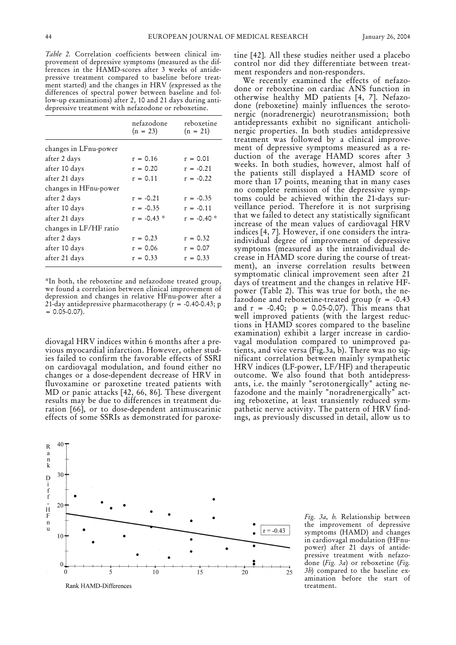*Table 2.* Correlation coefficients between clinical improvement of depressive symptoms (measured as the differences in the HAMD-scores after 3 weeks of antidepressive treatment compared to baseline before treatment started) and the changes in HRV (expressed as the differences of spectral power between baseline and follow-up examinations) after 2, 10 and 21 days during antidepressive treatment with nefazodone or reboxetine.

|                        | nefazodone<br>$(n = 23)$ | reboxetine<br>$(n = 21)$ |
|------------------------|--------------------------|--------------------------|
| changes in LFnu-power  |                          |                          |
| after 2 days           | $r = 0.16$               | $r = 0.01$               |
| after 10 days          | $r = 0.20$               | $r = -0.21$              |
| after 21 days          | $r = 0.11$               | $r = -0.22$              |
| changes in HFnu-power  |                          |                          |
| after 2 days           | $r = -0.21$              | $r = -0.35$              |
| after 10 days          | $r = -0.35$              | $r = -0.11$              |
| after 21 days          | $r = -0.43$ *            | $r = -0.40*$             |
| changes in LF/HF ratio |                          |                          |
| after 2 days           | $r = 0.23$               | $r = 0.32$               |
| after 10 days          | $r = 0.06$               | $r = 0.07$               |
| after 21 days          | $r = 0.33$               | $r = 0.33$               |

\*In both, the reboxetine and nefazodone treated group, we found a correlation between clinical improvement of depression and changes in relative HFnu-power after a 21-day antidepressive pharmacotherapy (r = -0.40-0.43; p  $= 0.05 - 0.07$ .

diovagal HRV indices within 6 months after a previous myocardial infarction. However, other studies failed to confirm the favorable effects of SSRI on cardiovagal modulation, and found either no changes or a dose-dependent decrease of HRV in fluvoxamine or paroxetine treated patients with MD or panic attacks [42, 66, 86]. These divergent results may be due to differences in treatment duration [66], or to dose-dependent antimuscarinic effects of some SSRIs as demonstrated for paroxetine [42]. All these studies neither used a placebo control nor did they differentiate between treatment responders and non-responders.

We recently examined the effects of nefazodone or reboxetine on cardiac ANS function in otherwise healthy MD patients [4, 7]. Nefazodone (reboxetine) mainly influences the serotonergic (noradrenergic) neurotransmission; both antidepressants exhibit no significant anticholinergic properties. In both studies antidepressive treatment was followed by a clinical improvement of depressive symptoms measured as a reduction of the average HAMD scores after 3 weeks. In both studies, however, almost half of the patients still displayed a HAMD score of more than 17 points, meaning that in many cases no complete remission of the depressive symptoms could be achieved within the 21-days surveillance period. Therefore it is not surprising that we failed to detect any statistically significant increase of the mean values of cardiovagal HRV indices [4, 7]. However, if one considers the intraindividual degree of improvement of depressive symptoms (measured as the intraindividual decrease in HAMD score during the course of treatment), an inverse correlation results between symptomatic clinical improvement seen after 21 days of treatment and the changes in relative HFpower (Table 2). This was true for both, the nefazodone and reboxetine-treated group  $(r = -0.43)$ and  $r = -0.40; p = 0.05 - 0.07$ . This means that well improved patients (with the largest reductions in HAMD scores compared to the baseline examination) exhibit a larger increase in cardiovagal modulation compared to unimproved patients, and vice versa (Fig.3a, b). There was no significant correlation between mainly sympathetic HRV indices (LF-power, LF/HF) and therapeutic outcome. We also found that both antidepressants, i.e. the mainly "serotonergically" acting nefazodone and the mainly "noradrenergically" acting reboxetine, at least transiently reduced sympathetic nerve activity. The pattern of HRV findings, as previously discussed in detail, allow us to



*Fig. 3a, b.* Relationship between the improvement of depressive symptoms (HAMD) and changes in cardiovagal modulation (HFnupower) after 21 days of antidepressive treatment with nefazodone (*Fig. 3a*) or reboxetine (*Fig. 3b*) compared to the baseline examination before the start of treatment.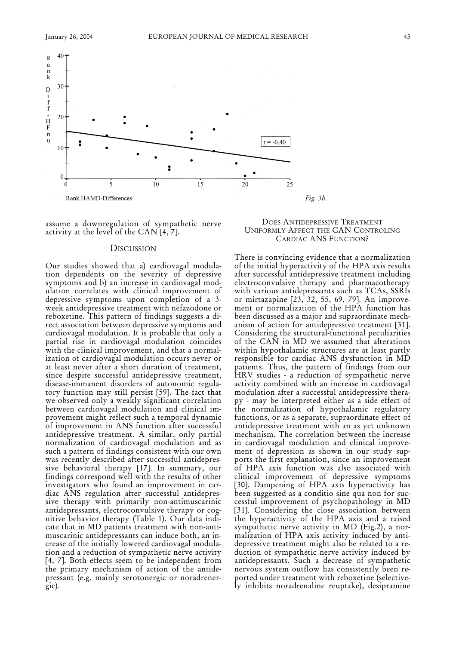

assume a downregulation of sympathetic nerve activity at the level of the  $CAN[4,7]$ .

### **DISCUSSION**

Our studies showed that a) cardiovagal modulation dependents on the severity of depressive symptoms and b) an increase in cardiovagal modulation correlates with clinical improvement of depressive symptoms upon completion of a 3 week antidepressive treatment with nefazodone or reboxetine. This pattern of findings suggests a direct association between depressive symptoms and cardiovagal modulation. It is probable that only a partial rise in cardiovagal modulation coincides with the clinical improvement, and that a normalization of cardiovagal modulation occurs never or at least never after a short duration of treatment, since despite successful antidepressive treatment, disease-immanent disorders of autonomic regulatory function may still persist [59]. The fact that we observed only a weakly significant correlation between cardiovagal modulation and clinical improvement might reflect such a temporal dynamic of improvement in ANS function after successful antidepressive treatment. A similar, only partial normalization of cardiovagal modulation and as such a pattern of findings consistent with our own was recently described after successful antidepressive behavioral therapy [17]. In summary, our findings correspond well with the results of other investigators who found an improvement in cardiac ANS regulation after successful antidepressive therapy with primarily non-antimuscarinic antidepressants, electroconvulsive therapy or cognitive behavior therapy (Table 1). Our data indicate that in MD patients treatment with non-antimuscarinic antidepressants can induce both, an increase of the initially lowered cardiovagal modulation and a reduction of sympathetic nerve activity [4, 7]. Both effects seem to be independent from the primary mechanism of action of the antidepressant (e.g. mainly serotonergic or noradrenergic).

## DOES ANTIDEPRESSIVE TREATMENT UNIFORMLY AFFECT THE CAN CONTROLING CARDIAC ANS FUNCTION?

There is convincing evidence that a normalization of the initial hyperactivity of the HPA axis results after successful antidepressive treatment including electroconvulsive therapy and pharmacotherap with various antidepressants such as TCAs, SSRIs or mirtazapine [23, 32, 55, 69, 79]. An improvement or normalization of the HPA function has been discussed as a major and supraordinate mechanism of action for antidepressive treatment [31]. Considering the structural-functional peculiarities of the CAN in MD we assumed that alterations within hypothalamic structures are at least partly responsible for cardiac ANS dysfunction in MD patients. Thus, the pattern of findings from our HRV studies - a reduction of sympathetic nerve activity combined with an increase in cardiovagal modulation after a successful antidepressive therapy - may be interpreted either as a side effect of the normalization of hypothalamic regulatory functions, or as a separate, supraordinate effect of antidepressive treatment with an as yet unknown mechanism. The correlation between the increase in cardiovagal modulation and clinical improvement of depression as shown in our study supports the first explanation, since an improvement of HPA axis function was also associated with clinical improvement of depressive symptoms [30]. Dampening of HPA axis hyperactivity has been suggested as a conditio sine qua non for successful improvement of psychopathology in MD [31]. Considering the close association between the hyperactivity of the HPA axis and a raised sympathetic nerve activity in MD (Fig.2), a normalization of HPA axis activity induced by antidepressive treatment might also be related to a reduction of sympathetic nerve activity induced by antidepressants. Such a decrease of sympathetic nervous system outflow has consistently been reported under treatment with reboxetine (selectively inhibits noradrenaline reuptake), desipramine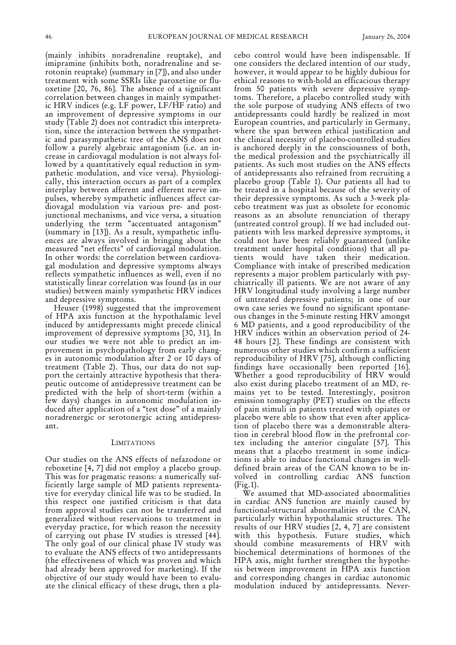(mainly inhibits noradrenaline reuptake), and imipramine (inhibits both, noradrenaline and serotonin reuptake) (summary in [7]), and also under treatment with some SSRIs like paroxetine or fluoxetine [20, 76, 86]. The absence of a significant correlation between changes in mainly sympathetic HRV indices (e.g. LF power, LF/HF ratio) and an improvement of depressive symptoms in our study (Table 2) does not contradict this interpretation, since the interaction between the sympathetic and parasympathetic tree of the ANS does not follow a purely algebraic antagonism (i.e. an increase in cardiovagal modulation is not always followed by a quantitatively equal reduction in sympathetic modulation, and vice versa). Physiologically, this interaction occurs as part of a complex interplay between afferent and efferent nerve impulses, whereby sympathetic influences affect cardiovagal modulation via various pre- and postjunctional mechanisms, and vice versa, a situation underlying the term "accentuated antagonism" (summary in [13]). As a result, sympathetic influences are always involved in bringing about the measured "net effects" of cardiovagal modulation. In other words: the correlation between cardiovagal modulation and depressive symptoms always reflects sympathetic influences as well, even if no statistically linear correlation was found (as in our studies) between mainly sympathetic HRV indices and depressive symptoms.

Heuser (1998) suggested that the improvement of HPA axis function at the hypothalamic level induced by antidepressants might precede clinical improvement of depressive symptoms [30, 31]. In our studies we were not able to predict an improvement in psychopathology from early changes in autonomic modulation after 2 or 10 days of treatment (Table 2). Thus, our data do not support the certainly attractive hypothesis that therapeutic outcome of antidepressive treatment can be predicted with the help of short-term (within a few days) changes in autonomic modulation induced after application of a "test dose" of a mainly noradrenergic or serotonergic acting antidepressant.

#### **LIMITATIONS**

Our studies on the ANS effects of nefazodone or reboxetine [4, 7] did not employ a placebo group. This was for pragmatic reasons: a numerically sufficiently large sample of MD patients representative for everyday clinical life was to be studied. In this respect one justified criticism is that data from approval studies can not be transferred and generalized without reservations to treatment in everyday practice, for which reason the necessity of carrying out phase IV studies is stressed [44]. The only goal of our clinical phase IV study was to evaluate the ANS effects of two antidepressants (the effectiveness of which was proven and which had already been approved for marketing). If the objective of our study would have been to evaluate the clinical efficacy of these drugs, then a placebo control would have been indispensable. If one considers the declared intention of our study, however, it would appear to be highly dubious for ethical reasons to with-hold an efficacious therapy from 50 patients with severe depressive symptoms. Therefore, a placebo controlled study with the sole purpose of studying ANS effects of two antidepressants could hardly be realized in most European countries, and particularly in Germany, where the span between ethical justification and the clinical necessity of placebo-controlled studies is anchored deeply in the consciousness of both, the medical profession and the psychiatrically ill patients. As such most studies on the ANS effects of antidepressants also refrained from recruiting a placebo group (Table 1). Our patients all had to be treated in a hospital because of the severity of their depressive symptoms. As such a 3-week placebo treatment was just as obsolete for economic reasons as an absolute renunciation of therapy (untreated control group). If we had included outpatients with less marked depressive symptoms, it could not have been reliably guaranteed (unlike treatment under hospital conditions) that all patients would have taken their medication. Compliance with intake of prescribed medication represents a major problem particularly with psychiatrically ill patients. We are not aware of any HRV longitudinal study involving a large number of untreated depressive patients; in one of our own case series we found no significant spontaneous changes in the 5-minute resting HRV amongst 6 MD patients, and a good reproducibility of the HRV indices within an observation period of 24- 48 hours [2]. These findings are consistent with numerous other studies which confirm a sufficient reproducibility of HRV [75], although conflicting findings have occasionally been reported [16]. Whether a good reproducibility of HRV would also exist during placebo treatment of an MD, remains yet to be tested. Interestingly, positron emission tomography (PET) studies on the effects of pain stimuli in patients treated with opiates or placebo were able to show that even after application of placebo there was a demonstrable alteration in cerebral blood flow in the prefrontal cortex including the anterior cingulate [57]. This means that a placebo treatment in some indications is able to induce functional changes in welldefined brain areas of the CAN known to be involved in controlling cardiac ANS function (Fig.1).

We assumed that MD-associated abnormalities in cardiac ANS function are mainly caused by functional-structural abnormalities of the CAN, particularly within hypothalamic structures. The results of our HRV studies [2, 4, 7] are consistent with this hypothesis. Future studies, which should combine measurements of HRV with biochemical determinations of hormones of the HPA axis, might further strengthen the hypothesis between improvement in HPA axis function and corresponding changes in cardiac autonomic modulation induced by antidepressants. Never-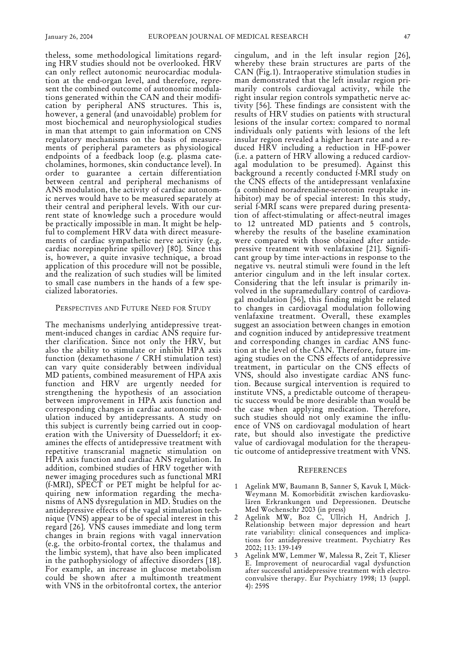theless, some methodological limitations regarding HRV studies should not be overlooked. HRV can only reflect autonomic neurocardiac modulation at the end-organ level, and therefore, represent the combined outcome of autonomic modulations generated within the CAN and their modification by peripheral ANS structures. This is, however, a general (and unavoidable) problem for most biochemical and neurophysiological studies in man that attempt to gain information on CNS regulatory mechanisms on the basis of measurements of peripheral parameters as physiological endpoints of a feedback loop (e.g. plasma catecholamines, hormones, skin conductance level). In order to guarantee a certain differentiation between central and peripheral mechanisms of ANS modulation, the activity of cardiac autonomic nerves would have to be measured separately at their central and peripheral levels. With our current state of knowledge such a procedure would be practically impossible in man. It might be helpful to complement HRV data with direct measurements of cardiac sympathetic nerve activity (e.g. cardiac norepinephrine spillover) [80]. Since this is, however, a quite invasive technique, a broad application of this procedure will not be possible, and the realization of such studies will be limited to small case numbers in the hands of a few spe-

#### PERSPECTIVES AND FUTURE NEED FOR STUDY

cialized laboratories.

The mechanisms underlying antidepressive treatment-induced changes in cardiac ANS require further clarification. Since not only the HRV, but also the ability to stimulate or inhibit HPA axis function (dexamethasone / CRH stimulation test) can vary quite considerably between individual MD patients, combined measurement of HPA axis function and HRV are urgently needed for strengthening the hypothesis of an association between improvement in HPA axis function and corresponding changes in cardiac autonomic modulation induced by antidepressants. A study on this subject is currently being carried out in cooperation with the University of Duesseldorf; it examines the effects of antidepressive treatment with repetitive transcranial magnetic stimulation on HPA axis function and cardiac ANS regulation. In addition, combined studies of HRV together with newer imaging procedures such as functional MRI (f-MRI), SPECT or PET might be helpful for acquiring new information regarding the mechanisms of ANS dysregulation in MD. Studies on the antidepressive effects of the vagal stimulation technique (VNS) appear to be of special interest in this regard [26]. VNS causes immediate and long term changes in brain regions with vagal innervation (e.g. the orbito-frontal cortex, the thalamus and the limbic system), that have also been implicated in the pathophysiology of affective disorders [18]. For example, an increase in glucose metabolism could be shown after a multimonth treatment with VNS in the orbitofrontal cortex, the anterior

cingulum, and in the left insular region [26], whereby these brain structures are parts of the CAN (Fig.1). Intraoperative stimulation studies in man demonstrated that the left insular region primarily controls cardiovagal activity, while the right insular region controls sympathetic nerve activity [56]. These findings are consistent with the results of HRV studies on patients with structural lesions of the insular cortex: compared to normal individuals only patients with lesions of the left insular region revealed a higher heart rate and a reduced HRV including a reduction in HF-power (i.e. a pattern of HRV allowing a reduced cardiovagal modulation to be presumed). Against this background a recently conducted f-MRI study on the CNS effects of the antidepressant venlafaxine (a combined noradrenaline-serotonin reuptake inhibitor) may be of special interest: In this study, serial f-MRI scans were prepared during presentation of affect-stimulating or affect-neutral images to 12 untreated MD patients and 5 controls, whereby the results of the baseline examination were compared with those obtained after antidepressive treatment with venlafaxine [21]. Significant group by time inter-actions in response to the negative vs. neutral stimuli were found in the left anterior cingulum and in the left insular cortex. Considering that the left insular is primarily involved in the supramedullary control of cardiovagal modulation [56], this finding might be related to changes in cardiovagal modulation following venlafaxine treatment. Overall, these examples suggest an association between changes in emotion and cognition induced by antidepressive treatment and corresponding changes in cardiac ANS function at the level of the CAN. Therefore, future imaging studies on the CNS effects of antidepressive treatment, in particular on the CNS effects of VNS, should also investigate cardiac ANS function. Because surgical intervention is required to institute VNS, a predictable outcome of therapeutic success would be more desirable than would be the case when applying medication. Therefore, such studies should not only examine the influence of VNS on cardiovagal modulation of heart rate, but should also investigate the predictive value of cardiovagal modulation for the therapeutic outcome of antidepressive treatment with VNS.

#### **REFERENCES**

- 1 Agelink MW, Baumann B, Sanner S, Kavuk I, Mück-Weymann M. Komorbidität zwischen kardiovaskulären Erkrankungen und Depressionen. Deutsche Med Wochenschr 2003 (in press)
- 2 Agelink MW, Boz C, Ullrich H, Andrich J. Relationship between major depression and heart rate variability: clinical consequences and implications for antidepressive treatment. Psychiatry Res 2002; 113: 139-149
- 3 Agelink MW, Lemmer W, Malessa R, Zeit T, Klieser E. Improvement of neurocardial vagal dysfunction after successful antidepressive treatment with electroconvulsive therapy. Eur Psychiatry 1998; 13 (suppl. 4): 259S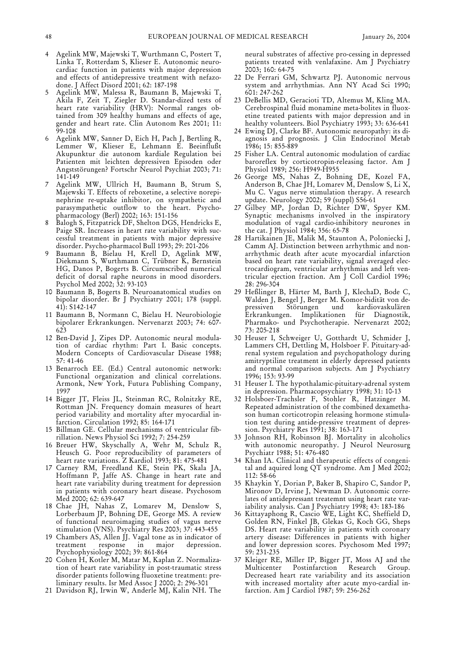- 4 Agelink MW, Majewski T, Wurthmann C, Postert T, Linka T, Rotterdam S, Klieser E. Autonomic neurocardiac function in patients with major depression and effects of antidepressive treatment with nefazodone. J Affect Disord 2001; 62: 187-198
- 5 Agelink MW, Malessa R, Baumann B, Majewski T, Akila F, Zeit T, Ziegler D. Standar-dized tests of heart rate variability (HRV): Normal ranges obtained from 309 healthy humans and effects of age, gender and heart rate. Clin Autonom Res 2001; 11: 99-108
- 6 Agelink MW, Sanner D, Eich H, Pach J, Bertling R, Lemmer W, Klieser E, Lehmann E. Beeinflußt Akupunktur die autonom kardiale Regulation bei Patienten mit leichten depressiven Episoden oder Angststörungen? Fortschr Neurol Psychiat 2003; 71: 141-149
- 7 Agelink MW, Ullrich H, Baumann B, Strum S, Majewski T. Effects of reboxetine, a selective norepinephrine re-uptake inhibitor, on sympathetic and parasympathetic outflow to the heart. Psychopharmacology (Berl) 2002; 163: 151-156
- 8 Balogh S, Fitzpatrick DF, Shelton DGS, Hendricks E, Paige SR. Increases in heart rate variability with successful treatment in patients with major depressive disorder. Psycho-pharmacol Bull 1993; 29: 201-206
- 9 Baumann B, Bielau H, Krell D, Agelink MW, Diekmann S, Wurthmann C, Trübner K, Bernstein HG, Danos P, Bogerts B. Circumscribed numerical deficit of dorsal raphe neurons in mood disorders. Psychol Med 2002; 32: 93-103
- 10 Baumann B, Bogerts B. Neuroanatomical studies on bipolar disorder. Br J Psychiatry 2001; 178 (suppl. 41): S142-147
- 11 Baumann B, Normann C, Bielau H. Neurobiologie bipolarer Erkrankungen. Nervenarzt 2003; 74: 607- 623
- 12 Ben-David J, Zipes DP. Autonomic neural modulation of cardiac rhythm: Part I. Basic concepts. Modern Concepts of Cardiovascular Disease 1988; 57: 41-46
- 13 Benarroch EE. (Ed.) Central autonomic network: Functional organization and clinical correlations. Armonk, New York, Futura Publishing Company, 1997
- 14 Bigger JT, Fleiss JL, Steinman RC, Rolnitzky RE, Rottman JN. Frequency domain measures of heart period variability and mortality after myocardial infarction. Circulation 1992; 85: 164-171
- 15 Billman GE. Cellular mechanisms of ventricular fibrillation. News Physiol Sci 1992; 7: 254-259
- 16 Breuer HW, Skyschally A, Wehr M, Schulz R, Heusch G. Poor reproducibility of parameters of heart rate variations. Z Kardiol 1993; 81: 475-481
- 17 Carney RM, Freedland KE, Stein PK, Skala JA, Hoffmann P, Jaffe AS. Change in heart rate and heart rate variability during treatment for depression in patients with coronary heart disease. Psychosom Med 2000; 62: 639-647
- 18 Chae JH, Nahas Z, Lomarev M, Denslow S, Lorberbaum JP, Bohning DE, George MS. A review of functional neuroimaging studies of vagus nerve stimulation (VNS). Psychiatry Res 2003; 37: 443-455
- 19 Chambers AS, Allen JJ. Vagal tone as in indicator of treatment response in major depression. Psychophysiology 2002; 39: 861-864
- 20 Cohen H, Kotler M, Matar M, Kaplan Z. Normalization of heart rate variability in post-traumatic stress disorder patients following fluoxetine treatment: preliminary results. Isr Med Assoc J 2000; 2: 296-301
- 21 Davidson RJ, Irwin W, Anderle MJ, Kalin NH. The

neural substrates of affective pro-cessing in depressed patients treated with venlafaxine. Am J Psychiatry 2003; 160: 64-75

- 22 De Ferrari GM, Schwartz PJ. Autonomic nervous system and arrhythmias. Ann NY Acad Sci 1990; 601: 247-262
- 23 DeBellis MD, Geracioti TD, Altemus M, Kling MA. Cerebrospinal fluid monamine meta-bolites in fluoxetine treated patients with major depression and in healthy volunteers. Biol Psychiatry 1993; 33: 636-641
- 24 Ewing DJ, Clarke BF. Autonomic neuropathy: its diagnosis and prognosis. J Clin Endocrinol Metab 1986; 15: 855-889
- 25 Fisher LA. Central autonomic modulation of cardiac baroreflex by corticotropin-releasing factor. Am J Physiol 1989; 256: H949-H955
- 26 George MS, Nahas Z, Bohning DE, Kozel FA, Anderson B, Chae JH, Lomarev M, Denslow S, Li X, Mu C. Vagus nerve stimulation therapy. A research update. Neurology 2002; 59 (suppl) S56-61
- 27 Gilbey MP, Jordan D, Richter DW, Spyer KM. Synaptic mechanisms involved in the inspiratory modulation of vagal cardio-inhibitory neurones in the cat. J Physiol 1984; 356: 65-78
- 28 Hartikainen JE, Malik M, Staunton A, Poloniecki J, Camm AJ. Distinction between arrhythmic and nonarrhythmic death after acute myocardial infarction based on heart rate variability, signal averaged electrocardiogram, ventricular arrhythmias and left ventricular ejection fraction. Am J Coll Cardiol 1996; 28: 296-304
- 29 Heßlinger B, Härter M, Barth J, KlechaD, Bode C, Walden J, Bengel J, Berger M. Komor-bidität von depressiven Störungen und kardiovaskulären Erkrankungen. Implikationen für Diagnostik, Pharmako- und Psychotherapie. Nervenarzt 2002; 73: 205-218
- 30 Heuser I, Schweiger U, Gotthardt U, Schmider J, Lammers CH, Dettling M, Holsboer F. Pituitary-adrenal system regulation and psychopathology during amitryptiline treatment in elderly depressed patients and normal comparison subjects. Am J Psychiatry 1996; 153: 93-99
- 31 Heuser I. The hypothalamic-pituitary-adrenal system in depression. Pharmacopsychiatry 1998; 31: 10-13
- 32 Holsboer-Trachsler F, Stohler R, Hatzinger M. Repeated administration of the combined dexamethason human corticotropin releasing hormone stimulation test during antide-pressive treatment of depression. Psychiatry Res 1991; 38: 163-171
- 33 Johnson RH, Robinson BJ. Mortality in alcoholics with autonomic neuropathy. J Neurol Neurosurg Psychiatr 1988; 51: 476-480
- 34 Khan IA. Clinical and therapeutic effects of congenital and aquired long QT syndrome. Am J Med 2002; 112: 58-66
- 35 Khaykin Y, Dorian P, Baker B, Shapiro C, Sandor P, Mironov D, Irvine J, Newman D. Autonomic correlates of antidepressant treatemnt using heart rate variability analysis. Can J Psychiatry 1998; 43: 183-186
- 36 Kittayaphong R, Cascio WE, Light KC, Sheffield D, Golden RN, Finkel JB, Glekas G, Koch GG, Sheps DS. Heart rate variability in patients with coronary artery disease: Differences in patients with higher and lower depression scores. Psychosom Med 1997; 59: 231-235
- 37 Kleiger RE, Miller IP, Bigger JT, Moss AJ and the Multicenter Postinfarction Research Group. Decreased heart rate variability and its association with increased mortality after acute myo-cardial infarction. Am J Cardiol 1987; 59: 256-262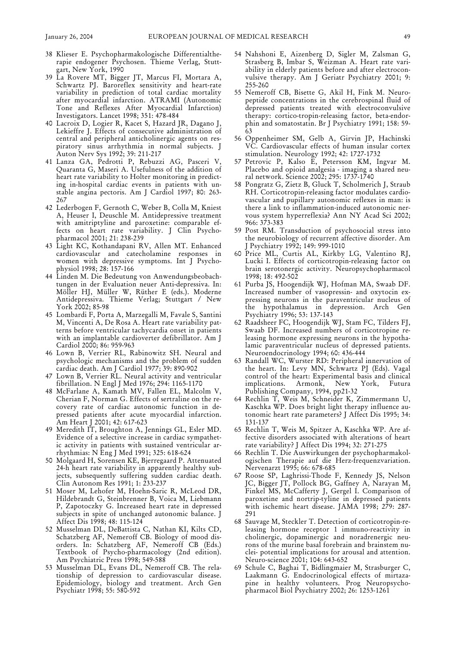- 38 Klieser E. Psychopharmakologische Differentialtherapie endogener Psychosen. Thieme Verlag, Stuttgart, New York, 1990
- 39 La Rovere MT, Bigger JT, Marcus FI, Mortara A, Schwartz PJ. Baroreflex sensitivity and heart-rate variability in prediction of total cardiac mortality after myocardial infarction. ATRAMI (Autonomic Tone and Reflexes After Myocardial Infarction) Investigators. Lancet 1998; 351: 478-484
- 40 Lacroix D, Logier R, Kacet S, Hazard JR, Dagano J, Lekieffre J. Effects of consecutive administration of central and peripheral anticholinergic agents on respiratory sinus arrhythmia in normal subjects. J Auton Nerv Sys 1992; 39: 211-217
- 41 Lanza GA, Pedrotti P, Rebuzzi AG, Pasceri V, Quaranta G, Maseri A. Usefulness of the addition of heart rate variability to Holter monitoring in predicting in-hospital cardiac events in patients with unstable angina pectoris. Am J Cardiol 1997; 80: 263- 267
- 42 Lederbogen F, Gernoth C, Weber B, Colla M, Kniest A, Heuser I, Deuschle M. Antidepressive treatment with amitriptyline and paroxetine: comparable effects on heart rate variability. J Clin Psychopharmacol 2001; 21: 238-239
- 43 Light KC, Kothandapani RV, Allen MT. Enhanced cardiovascular and catecholamine responses in women with depressive symptoms. Int J Psychophysiol 1998; 28: 157-166
- 44 Linden M. Die Bedeutung von Anwendungsbeobachtungen in der Evaluation neuer Anti-depressiva. In: Möller HJ, Müller W, Rüther E (eds.). Moderne Antidepressiva. Thieme Verlag; Stuttgart / New York 2002; 85-98
- 45 Lombardi F, Porta A, Marzegalli M, Favale S, Santini M, Vincenti A, De Rosa A. Heart rate variability patterns before ventricular tachycardia onset in patients with an implantable cardioverter defibrillator. Am J Cardiol 2000; 86: 959-963
- 46 Lown B, Verrier RL, Rabinowitz SH. Neural and psychologic mechanisms and the problem of sudden cardiac death. Am J Cardiol 1977; 39: 890-902
- 47 Lown B, Verrier RL. Neural activity and ventricular fibrillation. N Engl J Med 1976; 294: 1165-1170
- 48 McFarlane A, Kamath MV, Fallen EL, Malcolm V, Cherian F, Norman G. Effects of sertraline on the recovery rate of cardiac autonomic function in depressed patients after acute myocardial infarction. Am Heart J 2001; 42: 617-623
- 49 Meredith IT, Broughton A, Jennings GL, Esler MD. Evidence of a selective increase in cardiac sympathetic activity in patients with sustained ventricular arrhythmias: N Eng J Med 1991; 325: 618-624
- 50 Molgaard H, Sorensen KE, Bjerregaard P. Attenuated 24-h heart rate variability in apparently healthy subjects, subsequently suffering sudden cardiac death. Clin Autonom Res 1991; 1: 233-237
- 51 Moser M, Lehofer M, Hoehn-Saric R, McLeod DR, Hildebrandt G, Steinbrenner B, Voica M, Liebmann P, Zapotoczky G. Increased heart rate in depressed subjects in spite of unchanged autonomic balance. J Affect Dis 1998; 48: 115-124
- 52 Musselman DL, DeBattista C, Nathan KI, Kilts CD, Schatzberg AF, Nemeroff CB. Biology of mood disorders. In: Schatzberg AF, Nemeroff CB (Eds.) Textbook of Psycho-pharmacology (2nd edition). Am Psychiatric Press 1998; 549-588
- 53 Musselman DL, Evans DL, Nemeroff CB. The relationship of depression to cardiovascular disease. Epidemiology, biology and treatment. Arch Gen Psychiatr 1998; 55: 580-592
- 54 Nahshoni E, Aizenberg D, Sigler M, Zalsman G, Strasberg B, Imbar S, Weizman A. Heart rate variability in elderly patients before and after electroconvulsive therapy. Am J Geriatr Psychiatry 2001; 9: 255-260
- 55 Nemeroff CB, Bisette G, Akil H, Fink M. Neuropeptide concentrations in the cerebrospinal fluid of depressed patients treated with electroconvulsive therapy: cortico-tropin-releasing factor, beta-endorphin and somatostatin. Br J Psychiatry 1991; 158: 59- 63
- 56 Oppenheimer SM, Gelb A, Girvin JP, Hachinski VC. Cardiovascular effects of human insular cortex stimulation. Neurology 1992; 42: 1727-1732
- 57 Petrovic P, Kalso E, Petersson KM, Ingvar M. Placebo and opioid analgesia - imaging a shared neural network. Science 2002; 295: 1737-1740
- 58 Pongratz G, Zietz B, Gluck T, Scholmerich J, Straub RH. Corticotropin-releasing factor modulates cardiovascular and pupillary autonomic reflexes in man: is there a link to inflammation-induced autonomic nervous system hyperreflexia? Ann NY Acad Sci 2002; 966: 373-383
- 59 Post RM. Transduction of psychosocial stress into the neurobiology of recurrent affective disorder. Am J Psychiatry 1992; 149: 999-1010
- 60 Price ML, Curtis AL, Kirkby LG, Valentino RJ, Lucki I. Effects of corticotropin-releasing factor on brain serotonergic activity. Neuropsychopharmacol 1998; 18: 492-502
- 61 Purba JS, Hoogendijk WJ, Hofman MA, Swaab DF. Increased number of vasopressin- and oxytocin expressing neurons in the paraventricular nucleus of the hypothalamus in depression. Arch Gen Psychiatry 1996; 53: 137-143
- 62 Raadsheer FC, Hoogendijk WJ, Stam FC, Tilders FJ, Swaab DF. Increased numbers of corticotropine releasing hormone expressing neurons in the hypothalamic paraventricular nucleus of depressed patients. Neuroendocrinology 1994; 60: 436-444
- 63 Randall WC, Wurster RD: Peripheral innervation of the heart. In: Levy MN, Schwartz PJ (Eds). Vagal control of the heart: Experimental basis and clinical implications. Armonk, New York, Futura Publishing Company, 1994, pp21-32
- 64 Rechlin T, Weis M, Schneider K, Zimmermann U, Kaschka WP. Does bright light therapy influence autonomic heart rate parameters? J Affect Dis 1995; 34: 131-137
- 65 Rechlin T, Weis M, Spitzer A, Kaschka WP. Are affective disorders associated with alterations of heart rate variability? J Affect Dis 1994; 32: 271-275
- 66 Rechlin T. Die Auswirkungen der psychopharmakologischen Therapie auf die Herz-frequenzvariation. Nervenarzt 1995; 66: 678-685
- 67 Roose SP, Laghrissi-Thode F, Kennedy JS, Nelson JC, Bigger JT, Pollock BG, Gaffney A, Narayan M, Finkel MS, McCafferty J, Gergel I. Comparison of paroxetine and nortrip-tyline in depressed patients with ischemic heart disease. JAMA 1998; 279: 287- 291
- 68 Sauvage M, Steckler T. Detection of corticotropin-releasing hormone receptor 1 immuno-reactivity in cholinergic, dopaminergic and noradrenergic neurons of the murine basal forebrain and brainstem nuclei- potential implications for arousal and attention. Neuro-science 2001; 104: 643-652
- 69 Schule C, Baghai T, Bidlingmaier M, Strasburger C, Laakmann G. Endocrinological effects of mirtazapine in healthy volunteers. Prog Neuropsychopharmacol Biol Psychiatry 2002; 26: 1253-1261